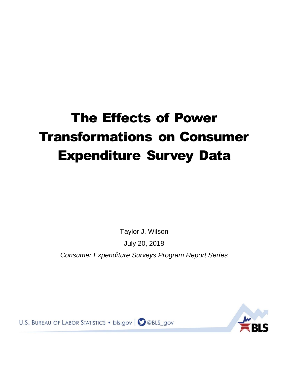# The Effects of Power Transformations on Consumer Expenditure Survey Data

Taylor J. Wilson

July 20, 2018

*Consumer Expenditure Surveys Program Report Series*

U.S. BUREAU OF LABOR STATISTICS . bls.gov | aBLS\_gov

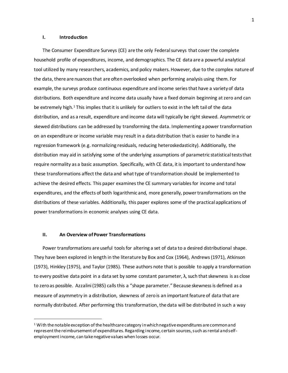## **I. Introduction**

The Consumer Expenditure Surveys (CE) are the only Federal surveys that cover the complete household profile of expenditures, income, and demographics. The CE data are a powerful analytical tool utilized by many researchers, academics, and policy makers. However, due to the complex nature of the data, there are nuances that are often overlooked when performing analysis using them. For example, the surveys produce continuous expenditure and income series that have a variety of data distributions. Both expenditure and income data usually have a fixed domain beginning at zero and can be extremely high.<sup>1</sup> This implies that it is unlikely for outliers to exist in the left tail of the data distribution, and as a result, expenditure and income data will typically be right skewed. Asymmetric or skewed distributions can be addressed by transforming the data. Implementing a power transformation on an expenditure or income variable may result in a data distribution that is easier to handle in a regression framework (e.g. normalizing residuals, reducing heteroskedasticity). Additionally, the distribution may aid in satisfying some of the underlying assumptions of parametric statistical tests that require normality as a basic assumption. Specifically, with CE data, it is important to understand how these transformations affect the data and what type of transformation should be implemented to achieve the desired effects. This paper examinesthe CE summary variables for income and total expenditures, and the effects of both logarithmic and, more generally, power transformations on the distributions of these variables. Additionally, this paper explores some of the practical applications of power transformations in economic analyses using CE data.

### **II. An Overview of Power Transformations**

l

Power transformations are useful tools for altering a set of data to a desired distributional shape. They have been explored in length in the literature by Box and Cox (1964), Andrews (1971), Atkinson (1973), Hinkley (1975), and Taylor (1985). These authors note that is possible to apply a transformation to every positive data point in a data set by some constant parameter,  $\lambda$ , such that skewness is as close to zero as possible. Azzalini (1985) calls this a "shape parameter." Because skewnessis defined as a measure of asymmetry in a distribution, skewness of zerois an important feature of data that are normally distributed. After performing this transformation, the data will be distributed in such a way

 $1$  With the notable exception of the healthcare category in which negative expenditures are common and represent the reimbursement of expenditures. Regarding income, certain sources, such as rental and selfemployment income, can take negative values when losses occur.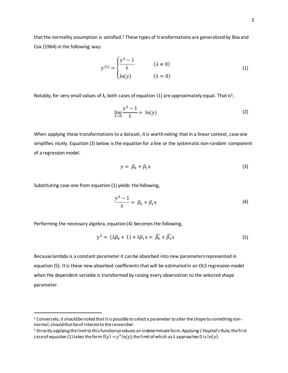that the normality assumption is satisfied.<sup>2</sup> These types of transformations are generalized by Box and Cox (1964) in the following way:

$$
y^{(\lambda)} = \begin{cases} \frac{y^{\lambda} - 1}{\lambda} & (\lambda \neq 0) \\ \ln(y) & (\lambda = 0) \end{cases}
$$
 (1)

Notably, for very small values of  $\lambda$ , both cases of equation (1) are approximately equal. That is<sup>3</sup>,

$$
\lim_{\lambda \to 0} \frac{y^{\lambda} - 1}{\lambda} = \ln(y) \tag{2}
$$

When applying these transformations to a dataset, it is worth noting that in a linear context, case one simplifies nicely. Equation (3) below is the equation for a line or the systematic non-random component of a regression model.

$$
y = \beta_0 + \beta_1 x \tag{3}
$$

Substituting case one from equation (1) yields the following,

l

$$
\frac{y^{\lambda}-1}{\lambda} = \beta_0 + \beta_1 x \tag{4}
$$

Performing the necessary algebra, equation (4) becomes the following,

$$
y^{\lambda} = (\lambda \beta_0 + 1) + \lambda \beta_1 x = \widehat{\beta_0} + \widehat{\beta_1} x \tag{5}
$$

Because lambda is a constant parameter it can be absorbed into new parametersrepresented in equation (5). It is these new absorbed coefficients that will be estimated in an OLS regression model when the dependent variable is transformed by raising every observation to the selected shape parameter.

<sup>&</sup>lt;sup>2</sup> Conversely, it should be noted that it is possible to select a parameter to alter the shape to something nonnormal, should that be of interest to the researcher.

<sup>&</sup>lt;sup>3</sup> Directly applying the limit to this function produces an indeterminate form. Applying L'Hopital's Rule, the first case of equation (1) takes the form f(y)  $=y^\lambda \text{ln(y)}$ ; the limit of which as λ approaches 0 is  $\text{ln(y)}$ .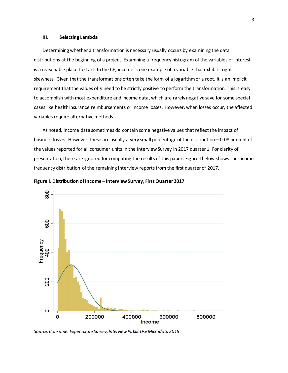#### **III. Selecting Lambda**

Determining whether a transformation is necessary usually occurs by examining the data distributions at the beginning of a project. Examining a frequency histogram of the variables of interest is a reasonable place to start. In the CE, income is one example of a variable that exhibits rightskewness. Given that the transformations often take the form of a logarithm or a root, it is an implicit requirement that the values of y need to be strictly positive to perform the transformation. This is easy to accomplish with most expenditure and income data, which are rarely negative save for some special cases like health insurance reimbursements or income losses. However, when losses occur, the affected variables require alternative methods.

As noted, income data sometimes do contain some negative values that reflect the impact of business losses. However, these are usually a very small percentage of the distribution—0.08 percent of the values reported for all consumer units in the Interview Survey in 2017 quarter 1. For clarity of presentation, these are ignored for computing the results of this paper. Figure I below shows the income frequency distribution of the remaining Interview reports from the first quarter of 2017.



**Figure I. Distribution of Income – Interview Survey, First Quarter 2017**

*Source: Consumer Expenditure Survey, Interview Public Use Microdata 2016*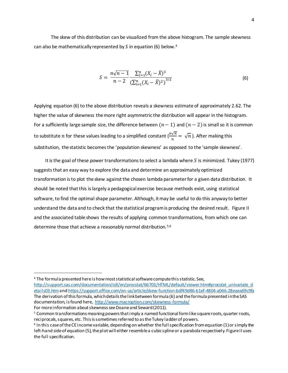The skew of this distribution can be visualized from the above histogram. The sample skewness can also be mathematically represented by *S* in equation (6) below. 4

$$
S = \frac{n\sqrt{n-1}}{n-2} \frac{\sum_{i=1}^{n} (X_i - \bar{X})^3}{\left(\sum_{i=1}^{n} (X_i - \bar{X})^2\right)^{3/2}}
$$
(6)

Applying equation (6) to the above distribution reveals a skewness estimate of approximately 2.62. The higher the value of skewness the more right asymmetric the distribution will appear in the histogram. For a sufficiently large sample size, the difference between  $(n - 1)$  and  $(n - 2)$  is small so it is common to substitute  $n$  for these values leading to a simplified constant ( $\frac{n\sqrt{n}}{n}=\sqrt{n}$  ). After making this substitution, the statistic becomes the 'population skewness' as opposed to the 'sample skewness'.

It is the goal of these power transformations to select a lambda where  $S$  is minimized. Tukey (1977) suggests that an easy way to explore the data and determine an approximately optimized transformation is to plot the skew against the chosen lambda parameter for a given data distribution. It should be noted that this is largely a pedagogical exercise because methods exist, using statistical software, to find the optimal shape parameter. Although, it may be useful to do this anyway to better understand the data and to check that the statistical program is producing the desired result. Figure II and the associated table shows the results of applying common transformations, from which one can determine those that achieve a reasonably normal distribution.<sup>5,6</sup>

 $\overline{a}$ 

<sup>4</sup> The formula presented here is how most statistical software compute this statistic. See, [http://support.sas.com/documentation/cdl/en/procstat/66703/HTML/default/viewer.htm#procstat\\_univariate\\_d](http://support.sas.com/documentation/cdl/en/procstat/66703/HTML/default/viewer.htm#procstat_univariate_details03.htm) [etails03.htm](http://support.sas.com/documentation/cdl/en/procstat/66703/HTML/default/viewer.htm#procstat_univariate_details03.htm)an[d https://support.office.com/en-us/article/skew-function-bdf49d86-b1ef-4804-a046-28eaea69c9fa](https://support.office.com/en-us/article/skew-function-bdf49d86-b1ef-4804-a046-28eaea69c9fa) The derivation of this formula, which details the link between formula (6) and the formula presented in the SAS documentation, is found here, <http://www.macroption.com/skewness-formula/> For more information about skewness see Doane and Seward (2011).

<sup>5</sup> Common transformations meaning powers that imply a named functional form like square roots, quarter roots, reciprocals, squares, etc. This is sometimes referred to as the Tukey ladder of powers.

<sup>6</sup> In this case of the CE income variable, depending on whether the full specification from equation (1) or simply the left-hand side of equation (5), the plot will either resemble a cubic spline or a parabola respectively. Figure II uses the full specification.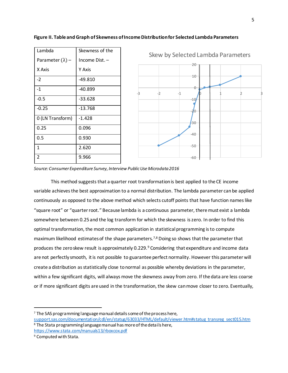| Lambda                  | Skewness of the |
|-------------------------|-----------------|
| Parameter $(\lambda)$ – | Income Dist. -  |
| X Axis                  | Y Axis          |
| $-2$                    | -49.810         |
| $-1$                    | -40.899         |
| $-0.5$                  | $-33.628$       |
| $-0.25$                 | $-13.768$       |
| 0 (LN Transform)        | $-1.428$        |
| 0.25                    | 0.096           |
| 0.5                     | 0.930           |
| 1                       | 2.620           |
| 2                       | 9.966           |





*Source: Consumer Expenditure Survey, Interview Public Use Microdata 2016*

This method suggests that a quarter root transformation is best applied to the CE income variable achieves the best approximation to a normal distribution. The lambda parameter can be applied continuously as opposed to the above method which selects cutoff points that have function nameslike "square root" or "quarter root." Because lambda is a continuous parameter, there must exist a lambda somewhere between 0.25 and the log transform for which the skewness is zero. In order to find this optimal transformation, the most common application in statistical programming is to compute maximum likelihood estimates of the shape parameters.<sup>7,8</sup> Doing so shows that the parameter that produces the zero skew result is approximately 0.229.<sup>9</sup> Considering that expenditure and income data are not perfectly smooth, it is not possible to guarantee perfect normality. However this parameter will create a distribution as statistically close to normal as possible whereby deviations in the parameter, within a few significant digits, will always move the skewness away from zero. If the data are less coarse or if more significant digits are used in the transformation, the skew can move closer to zero. Eventually,

<sup>7</sup> The SAS programming language manual details some of the process here,

[support.sas.com/documentation/cdl/en/statug/63033/HTML/default/viewer.htm#statug\\_transreg\\_sect015.htm](https://support.sas.com/documentation/cdl/en/statug/63033/HTML/default/viewer.htm#statug_transreg_sect015.htm) <sup>8</sup> The Stata programming language manual has more of the details here, <https://www.stata.com/manuals13/rboxcox.pdf>

<sup>9</sup> Computed with Stata.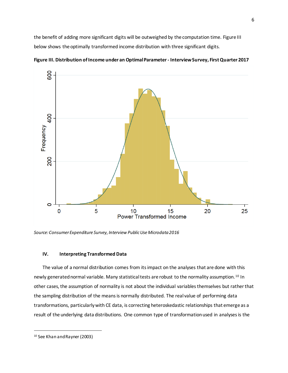the benefit of adding more significant digits will be outweighed by the computation time. Figure III below shows the optimally transformed income distribution with three significant digits.



**Figure III. Distribution ofIncome under an Optimal Parameter- Interview Survey, First Quarter 2017**

*Source:Consumer Expenditure Survey, Interview Public Use Microdata 2016* 

# **IV. Interpreting Transformed Data**

The value of a normal distribution comes from itsimpact on the analyses that are done with this newly generated normal variable. Many statistical tests are robust to the normality assumption.<sup>10</sup> In other cases, the assumption of normality is not about the individual variables themselves but rather that the sampling distribution of the means is normally distributed. The real value of performing data transformations, particularly with CE data, is correcting heteroskedastic relationships that emerge as a result of the underlying data distributions. One common type of transformation used in analyses is the

<sup>10</sup> See Khan and Rayner (2003)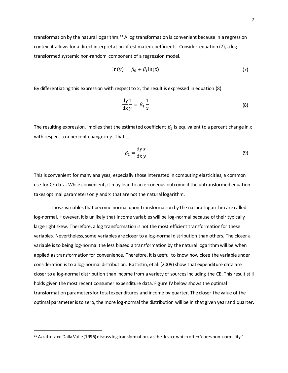transformation by the natural logarithm.<sup>11</sup> A log transformation is convenient because in a regression context it allows for a direct interpretation of estimated coefficients. Consider equation (7), a logtransformed systemic non-random component of a regression model.

$$
\ln(y) = \beta_0 + \beta_1 \ln(x) \tag{7}
$$

By differentiating this expression with respect to x, the result is expressed in equation  $(8)$ .

$$
\frac{\mathrm{d}y}{\mathrm{d}x}\frac{1}{y} = \beta_1 \frac{1}{x} \tag{8}
$$

The resulting expression, implies that the estimated coefficient  $\beta_1$  is equivalent to a percent change in  ${\rm x}$ with respect to a percent change in  $y$ . That is,

$$
\beta_1 = \frac{\mathrm{d}y \, x}{\mathrm{d}x \, y} \tag{9}
$$

This is convenient for many analyses, especially those interested in computing elasticities, a common use for CE data. While convenient, it may lead to an erroneous outcome if the untransformed equation takes optimal parameters on y and x that are not the natural logarithm.

Those variables that become normal upon transformation by the natural logarithm are called log-normal. However, it is unlikely that income variables will be log-normal because of their typically large right skew. Therefore, a log transformation is not the most efficient transformation for these variables. Nevertheless, some variables are closer to a log-normal distribution than others. The closer a variable is to being log-normal the less biased a transformation by the natural logarithm will be when applied as transformation for convenience. Therefore, it is useful to know how close the variable under consideration isto a log-normal distribution. Battistin, et al. (2009) show that expenditure data are closer to a log-normal distribution than income from a variety of sources including the CE. This result still holds given the most recent consumer expenditure data. Figure IV below shows the optimal transformation parameters for total expenditures and income by quarter. The closer the value of the optimal parameter is to zero, the more log-normal the distribution will be in that given year and quarter.

<sup>11</sup> Azzalini and Dalla Valle (1996) discuss log transformations as the device which often 'cures non-normality.'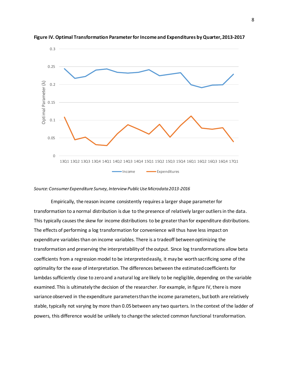

**Figure IV. Optimal Transformation Parameter for Income and Expenditures by Quarter, 2013-2017**

#### *Source: Consumer Expenditure Survey, Interview Public Use Microdata 2013-2016*

Empirically, the reason income consistently requires a larger shape parameterfor transformation to a normal distribution is due to the presence of relatively larger outliers in the data. This typically causes the skew for income distributions to be greater thanfor expenditure distributions. The effects of performing a log transformation for convenience will thus have less impact on expenditure variables than on income variables. There is a tradeoff between optimizing the transformation and preserving the interpretability of the output. Since log transformations allow beta coefficients from a regression model to be interpreted easily, it may be worth sacrificing some of the optimality for the ease of interpretation. The differences between the estimated coefficients for lambdas sufficiently close to zero and a natural log are likely to be negligible, depending on the variable examined. This is ultimately the decision of the researcher. For example, in figure IV, there is more variance observed in the expenditure parameters than the income parameters, but both are relatively stable, typically not varying by more than 0.05 between any two quarters. In the context of the ladder of powers, this difference would be unlikely to change the selected common functional transformation.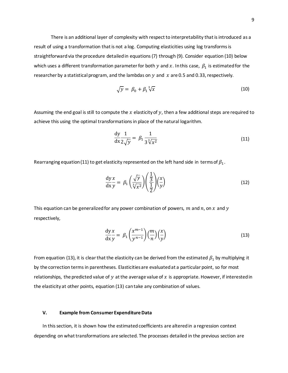There is an additional layer of complexity with respect to interpretability that is introduced as a result of using a transformation that is not a log. Computing elasticities using log transforms is straightforward via the procedure detailed in equations (7) through (9). Consider equation (10) below which uses a different transformation parameter for both  $y$  and  $x$ . In this case,  $\,\beta_1$  is estimated for the researcher by a statistical program, and the lambdas on  $y$  and  $x$  are 0.5 and 0.33, respectively.

$$
\sqrt{y} = \beta_0 + \beta_1 \sqrt[3]{x} \tag{10}
$$

Assuming the end goal is still to compute the  $x$  elasticity of  $y$ , then a few additional steps are required to achieve this using the optimal transformations in place of the natural logarithm.

$$
\frac{\mathrm{d}y}{\mathrm{d}x} \frac{1}{2\sqrt{y}} = \beta_1 \frac{1}{3\sqrt[3]{x^2}} \tag{11}
$$

Rearranging equation (11) to get elasticity represented on the left hand side in terms of  $\beta_1.$ 

$$
\frac{dy}{dx}\frac{x}{y} = \beta_1 \left(\frac{\sqrt{y}}{\sqrt[3]{x^2}}\right) \left(\frac{\frac{1}{3}}{\frac{1}{2}}\right) \left(\frac{x}{y}\right)
$$
(12)

This equation can be generalized for any power combination of powers,  $m$  and  $n$ , on  $x$  and  $y$ respectively,

$$
\frac{dy}{dx}\frac{x}{y} = \beta_1 \left(\frac{x^{m-1}}{y^{n-1}}\right) \left(\frac{m}{n}\right) \left(\frac{x}{y}\right)
$$
\n(13)

From equation (13), it is clear that the elasticity can be derived from the estimated  $\beta_1$  by multiplying it by the correction termsin parentheses. Elasticities are evaluated at a particular point, so for most relationships, the predicted value of  $y$  at the average value of  $x$  is appropriate. However, if interested in the elasticity at other points, equation (13) can take any combination of values.

## **V. Example from Consumer Expenditure Data**

In this section, it is shown how the estimated coefficients are altered in a regression context depending on what transformations are selected. The processes detailed in the previous section are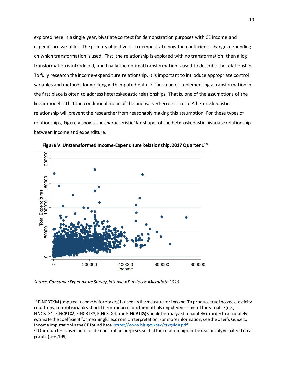explored here in a single year, bivariate context for demonstration purposes with CE income and expenditure variables. The primary objective is to demonstrate how the coefficients change, depending on which transformation is used. First, the relationship is explored with no transformation; then a log transformation is introduced, and finally the optimal transformation is used to describe the relationship. To fully research the income-expenditure relationship, it isimportant to introduce appropriate control variables and methods for working with imputed data.<sup>12</sup> The value of implementing a transformation in the first place is often to address heteroskedastic relationships. That is, one of the assumptions of the linear model is that the conditional mean of the unobserved errors is zero. A heteroskedastic relationship will prevent the researcher from reasonably making this assumption. For these types of relationships, Figure V shows the characteristic 'fan shape' of the heteroskedastic bivariate relationship between income and expenditure.



**Figure V. Untransformed Income-Expenditure Relationship, 2017Quarter 1<sup>13</sup>**

*Source: Consumer Expenditure Survey, Interview Public Use Microdata 2016*

 $12$  FINCBTXM (imputed income before taxes) is used as the measure for income. To produce true income elasticity equations, control variables should be introduced and the multiply imputed versions of the variable (i.e., FINCBTX1, FINCBTX2, FINCBTX3, FINCBTX4, and FINCBTX5) should be analyzed separately in order to accurately estimate the coefficient for meaningful economic interpretation. For more information, see the User's Guide to Income Imputation in the CE found here[, https://www.bls.gov/cex/csxguide.pdf](https://www.bls.gov/cex/csxguide.pdf) 

<sup>&</sup>lt;sup>13</sup> One quarter is used here for demonstration purposes so that the relationship can be reasonably visualized on a graph. (n=6,199)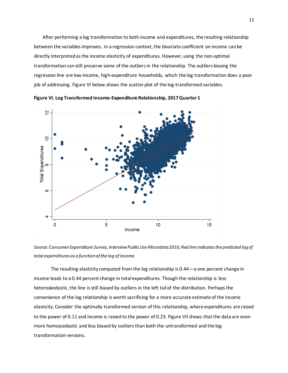After performing a log transformation to both income and expenditures, the resulting relationship between the variables improves. In a regression context, the bivariate coefficient on income can be directly interpreted as the income elasticity of expenditures. However, using the non-optimal transformation can still preserve some of the outliers in the relationship. The outliers biasing the regression line are low-income, high-expenditure households, which the log transformation does a poor job of addressing. Figure VI below shows the scatter plot of the log-transformed variables.



**Figure VI. Log Transformed Income-Expenditure Relationship, 2017 Quarter 1**

*Source: Consumer Expenditure Survey, Interview Public Use Microdata 2016; Red line indicates the predicted logof total expenditures as a function of the log of income.*

The resulting elasticity computed from the log relationship is 0.44—a one percent change in income leads to a 0.44 percent change in total expenditures. Though the relationship is less heteroskedastic, the line is still biased by outliers in the left tail of the distribution. Perhaps the convenience of the log relationship is worth sacrificing for a more accurate estimate of the income elasticity. Consider the optimally transformed version of this relationship, where expenditures are raised to the power of 0.11 and income is raised to the power of 0.23. Figure VII shows that the data are even more homoscedastic and less biased by outliers than both the untransformed and the log transformation versions.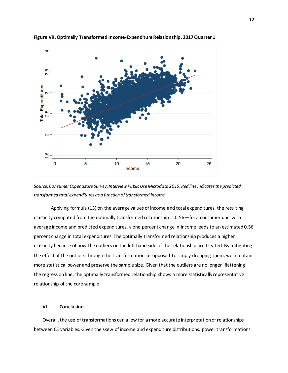

**Figure VII. Optimally Transformed Income-Expenditure Relationship, 2017 Quarter 1**

*Source: Consumer Expenditure Survey, Interview Public Use Microdata 2016; Red line indicates the predicted transformed total expenditures as a function of transformed income.*

Applying formula (13) on the average values of income and total expenditures, the resulting elasticity computed from the optimally transformed relationship is 0.56—for a consumer unit with average income and predicted expenditures, a one percent change in income leads to an estimated0.56 percent change in total expenditures. The optimally transformed relationship produces a higher elasticity because of how the outliers on the left hand side of the relationship are treated. By mitigating the effect of the outliers through the transformation, as opposed to simply dropping them, we maintain more statistical power and preserve the sample size. Given that the outliers are no longer 'flattening' the regression line, the optimally transformed relationship shows a more statistically representative relationship of the core sample.

# **VI. Conclusion**

Overall, the use of transformations can allow for a more accurate interpretation of relationships between CE variables. Given the skew of income and expenditure distributions, power transformations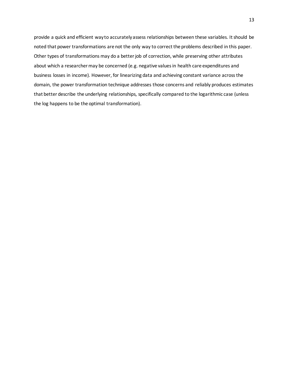provide a quick and efficient way to accurately assess relationships between these variables. It should be noted that power transformations are not the only way to correct the problems described in this paper. Other types of transformations may do a better job of correction, while preserving other attributes about which a researcher may be concerned (e.g. negative values in health care expenditures and business losses in income). However, for linearizing data and achieving constant variance across the domain, the power transformation technique addresses those concerns and reliably produces estimates that better describe the underlying relationships, specifically compared to the logarithmic case (unless the log happens to be the optimal transformation).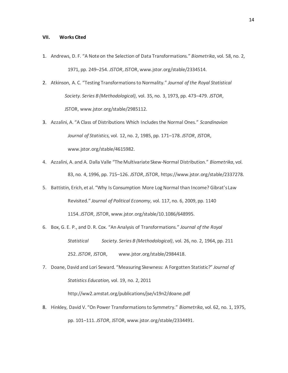#### **VII. Works Cited**

- 1. Andrews, D. F. "A Note on the Selection of Data Transformations." *Biometrika*, vol. 58, no. 2, 1971, pp. 249–254. *JSTOR*, JSTOR, www.jstor.org/stable/2334514.
- 2. Atkinson, A. C. "Testing Transformations to Normality." *Journal of the Royal Statistical Society. Series B (Methodological)*, vol. 35, no. 3, 1973, pp. 473–479. *JSTOR*, JSTOR, www.jstor.org/stable/2985112.
- 3. Azzalini, A. "A Class of Distributions Which Includes the Normal Ones." *Scandinavian Journal of Statistics*, vol. 12, no. 2, 1985, pp. 171–178. *JSTOR*, JSTOR, www.jstor.org/stable/4615982.
- 4. Azzalini, A. and A. Dalla Valle "The Multivariate Skew-Normal Distribution." *Biometrika*, vol. 83, no. 4, 1996, pp. 715–126. *JSTOR*, JSTOR, https://www.jstor.org/stable/2337278.
- 5. Battistin, Erich, et al. "Why Is Consumption More Log Normal than Income? Gibrat's Law Revisited." *Journal of Political Economy*, vol. 117, no. 6, 2009, pp. 1140 1154. *JSTOR*, JSTOR, www.jstor.org/stable/10.1086/648995.
- 6. Box, G. E. P., and D. R. Cox. "An Analysis of Transformations." *Journal of the Royal Statistical Society. Series B (Methodological)*, vol. 26, no. 2, 1964, pp. 211 252. *JSTOR*, JSTOR, www.jstor.org/stable/2984418.
- 7. Doane, David and Lori Seward. "Measuring Skewness: A Forgotten Statistic?" *Journal of Statistics Education,* vol. 19, no. 2, 2011

http://ww2.amstat.org/publications/jse/v19n2/doane.pdf

8. Hinkley, David V. "On Power Transformations to Symmetry." *Biometrika*, vol. 62, no. 1, 1975, pp. 101–111. *JSTOR*, JSTOR, www.jstor.org/stable/2334491.